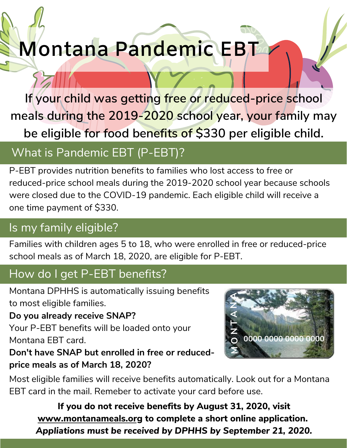# **Montana Pandemic EBT**

**If your child was getting free or reduced-price school meals during the 2019-2020 school year, your family may be eligible for food benefits of \$330 per eligible child.**

## What is Pandemic EBT (P-EBT)?

P-EBT provides nutrition benefits to families who lost access to free or reduced-price school meals during the 2019-2020 school year because schools were closed due to the COVID-19 pandemic. Each eligible child will receive a one time payment of \$330.

### Is my family eligible?

Families with children ages 5 to 18, who were enrolled in free or reduced-price school meals as of March 18, 2020, are eligible for P-EBT.

#### How do I get P-EBT benefits?

Montana DPHHS is automatically issuing benefits to most eligible families.

**Do you already receive SNAP?**

Your P-EBT benefits will be loaded onto your Montana EBT card.

**Don't have SNAP but enrolled in free or reducedprice meals as of March 18, 2020?**



Most eligible families will receive benefits automatically. Look out for a Montana EBT card in the mail. Remeber to activate your card before use.

**If you do not receive benefits by August 31, 2020, visit [www.montanameals.org](http://www.montanameals.org/) to complete a short online application.** *Appliations must be received by DPHHS by September 21, 2020.*